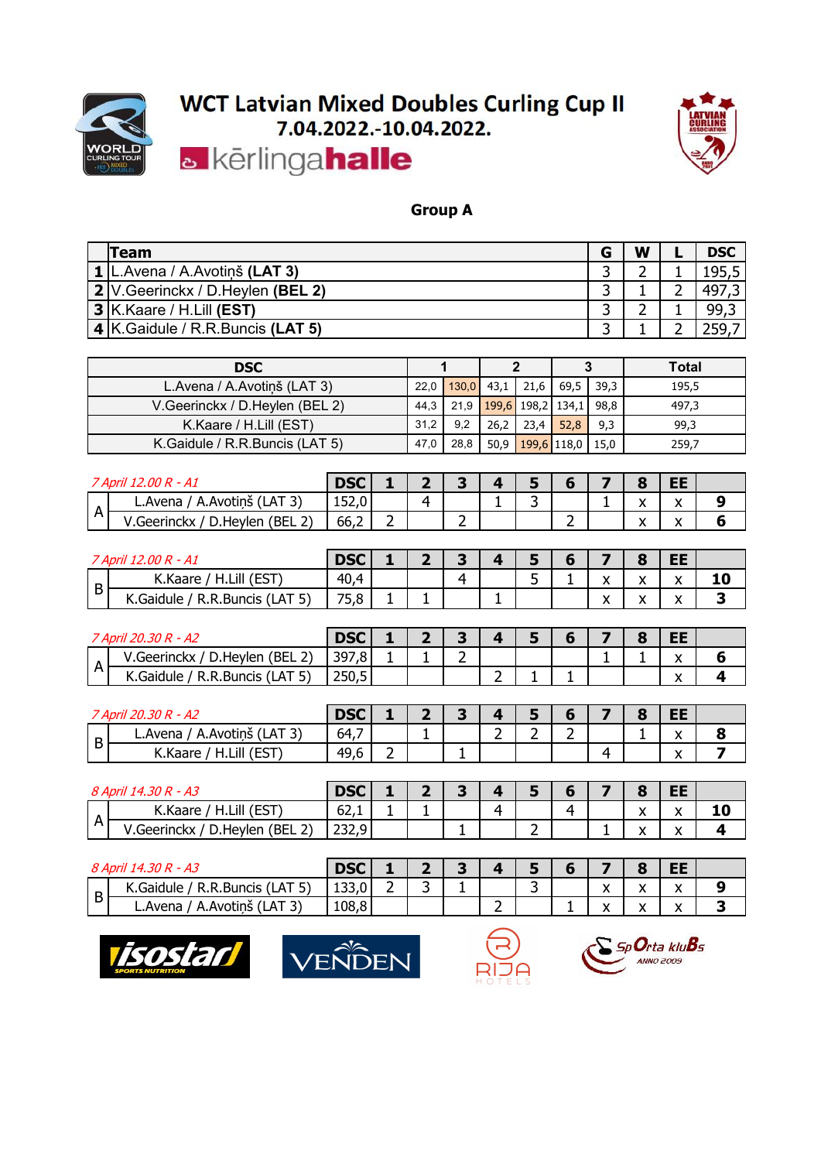



#### **Group A**

| Team                                        | G  | W | <b>DSC</b> |
|---------------------------------------------|----|---|------------|
| <b>1 L.Avena / A.Avotiņš (LAT 3)</b>        | ــ |   | 195,5      |
| 2 V.Geerinckx / D.Heylen (BEL 2)            |    |   | 497,3      |
| $3$ K. Kaare / H. Lill (EST)                |    | - | 99,3       |
| $\mathbf{4}$ K.Gaidule / R.R.Buncis (LAT 5) |    |   | 259.7      |

| <b>DSC</b>                     |      |                             |      |             |        |      | Total |
|--------------------------------|------|-----------------------------|------|-------------|--------|------|-------|
| L.Avena / A.Avotinš (LAT 3)    | 22.0 | $130,0$ 43,1                |      | 21,6        | $69,5$ | 39.3 | 195,5 |
| V.Geerinckx / D.Heylen (BEL 2) |      | 44,3 21,9 199,6 198,2 134,1 |      |             |        | 98.8 | 497,3 |
| K.Kaare / H.Lill (EST)         | 31.2 | 9,2                         | 26,2 | 23.4        | 52,8   | 9,3  | 99,3  |
| K.Gaidule / R.R.Buncis (LAT 5) | 47.0 | 28,8                        | 50,9 | 199,6 118,0 |        | 15.0 | 259,7 |

|              | ' 12.00 R - A1<br>April                        | <b>DSC</b>    |        |                               | ۰ |        | o                         | ᄄ<br>ᄕ |   |
|--------------|------------------------------------------------|---------------|--------|-------------------------------|---|--------|---------------------------|--------|---|
|              | / A.Avotiņš (LAT <sup>2</sup> )<br>L.Avena     | 1520<br>LJZ,U |        |                               | - |        | $\sim$<br>$\lambda$       | v      |   |
| $\mathsf{A}$ | (BEL <sub>2</sub> )<br>/.Geerinckx<br>D.Heylen | 66,2          | -<br>- | $\overline{\phantom{0}}$<br>- |   | -<br>- | $\mathbf{v}$<br>$\lambda$ | "      | ч |

| 7 April | $12.00 R - A1$                                              | <b>DSC</b> |   |  |        |                        | О                                       | EE                   |    |
|---------|-------------------------------------------------------------|------------|---|--|--------|------------------------|-----------------------------------------|----------------------|----|
|         | (EST)<br>H.Lill<br>K.Kaare                                  | 40,4       |   |  | -<br>ັ | $\mathbf{v}$           | $\lambda$<br>$\boldsymbol{\mathcal{L}}$ | $\ddot{\phantom{0}}$ | 10 |
| B       | R.R.Buncis (LAT 5)<br>$\overline{\phantom{0}}$<br>K.Gaidule | 75,8       | - |  |        | $\lambda$<br>$\lambda$ | $\cdot$<br>$\mathbf{\Lambda}$           | $\cdot$<br>◠         |    |

|   | ' April<br>- A2<br>20.<br>30<br>к                                                   | <b>DSC</b> |   |        |   | $\sim$ |  | O | --<br>-- |   |
|---|-------------------------------------------------------------------------------------|------------|---|--------|---|--------|--|---|----------|---|
|   | (BEL <sub>2</sub> )<br>$\mathcal{L}$<br>∽<br><sub>n</sub><br>D.Heylen<br>.Geerinckx | 397,8      | - | -<br>- |   |        |  | - | $\cdot$  | w |
| A | $\sim$ (LAT $F^*$<br><b>R.Buncis</b> /<br>.Gaidule<br>◡                             | 250,5      |   |        | - | - 11   |  |   | $\cdot$  |   |

|   | .30 R - A2<br>20.<br>Anril           | <b>DSC</b> |        |   |   |          |        | r e<br>$\bullet$ | EE<br>--          |                          |
|---|--------------------------------------|------------|--------|---|---|----------|--------|------------------|-------------------|--------------------------|
|   | A.Avotinš<br>(LAT 3)<br>L.Avena      | 64,7       |        |   | - | . .<br>- | -<br>- | -                | $\mathbf{v}$<br>" | o<br>o                   |
| D | H.Lill (EST<br>$\sqrt{2}$<br>K.Kaare | 49, c      | -<br>- | - |   |          |        |                  | $\mathbf{v}$<br>^ | $\overline{\phantom{0}}$ |

|                       | - A3<br>30<br><i><b>9 Anril</b></i><br>R<br>$\overline{14}$ | <b>DSC</b>               |   |   |          |   | D              | œ<br>r.                      | EE |    |
|-----------------------|-------------------------------------------------------------|--------------------------|---|---|----------|---|----------------|------------------------------|----|----|
|                       | (EST)<br>H.Lill<br>K.Kaare                                  | $\sim$<br>04, L          | - |   | $\Delta$ |   | $\overline{ }$ | $\mathbf{v}$<br>$\mathbf{v}$ | ↗  | 10 |
| $\mathbf{\mathsf{m}}$ | っ<br>(BEL <sub>2</sub> )<br>V.Geerinckx<br>D.Heylen         | ววว <b>ด</b> l<br>נוגר ב |   | - |          | - |                | $\overline{\phantom{a}}$     |    |    |

|   | <u> የ Anril</u><br>30<br>∂ R - A<br>14                              | <b>DSC</b> |        |   |   | ٠      |  | $\bullet$                  | EE<br>-- |        |
|---|---------------------------------------------------------------------|------------|--------|---|---|--------|--|----------------------------|----------|--------|
|   | $\sim$ $ \sim$<br>K.Gaidule<br>R<br><b>A.R.Buncis</b><br>LAI<br>، ر | 133,0      | -<br>- | - |   | -<br>- |  | $\sim$<br>$\lambda$        | . .      |        |
| D | A. Avotinš<br>$\sim$ $\sim$ $\sim$<br>L.Avena<br>(LA)<br>-31        | 108,8      |        |   | - |        |  | $\sim$ $\sim$<br>$\lambda$ |          | $\sim$ |







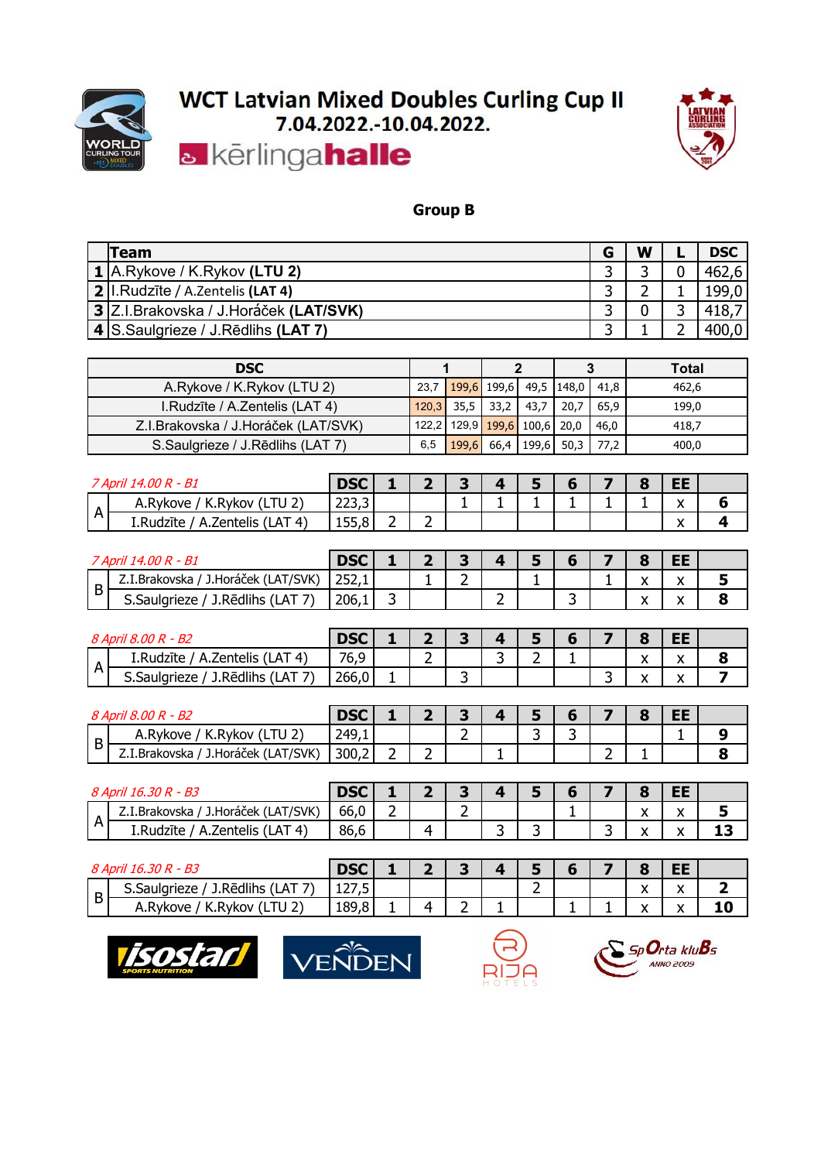



#### **Group B**

| Team                                         | W | <b>DSC</b> |
|----------------------------------------------|---|------------|
| $\vert$ 1 A.Rykove / K.Rykov (LTU 2)         |   | 462,6      |
| 2. I. Rudzīte / A. Zentelis (LAT 4)          |   | 199,0      |
| 13 Z.I.Brakovska / J.Horáček (LAT/SVK)       |   | 418,7      |
| $\vert$ 4 S. Saulgrieze / J. Redlihs (LAT 7) |   | 400,0      |

| <b>DSC</b>                            |      |                              |            |                               |           | Total |
|---------------------------------------|------|------------------------------|------------|-------------------------------|-----------|-------|
| A.Rykove / K.Rykov (LTU 2)            | 23,7 |                              |            | $199.6$ 199.6 49.5 148.0 41.8 |           | 462,6 |
| I.Rudzīte / A.Zentelis (LAT 4)        |      | $120,3$ 35,5 33,2            | 43,7       | 20.7                          | 65.9      | 199,0 |
| Z.I. Brakovska / J. Horáček (LAT/SVK) |      | 122,2 129,9 199,6 100,6 20,0 |            |                               | 46.0      | 418,7 |
| S.Saulgrieze / J.Rēdlihs (LAT 7)      | 6,5  | 199.6                        | 66,4 199,6 |                               | 50,3 77,2 | 400,0 |

| ררר<br>$\overline{\phantom{a}}$<br>ю                                    | <sup>7</sup> April 14.00 R - B1 | <b>DSC</b> |  |  |  | œ | EE |  |
|-------------------------------------------------------------------------|---------------------------------|------------|--|--|--|---|----|--|
|                                                                         | K.Rykov (LTU 2)<br>A.Rykove     | ر ر بے ے   |  |  |  |   | "  |  |
| A<br>(LAT 4)<br>155,8<br>A.Zentelis<br>$\lambda$<br>1.Rudzite<br>́<br>- |                                 |            |  |  |  |   |    |  |

|   | - B1<br>14 D.C<br>April<br>к               | RCC<br>レコし |        |   |   |   | œ                       | FF.<br>--    |        |
|---|--------------------------------------------|------------|--------|---|---|---|-------------------------|--------------|--------|
|   | J.Horáček ('<br>(LAT/SVK)<br>Z.I.Brakovska | 252,1      |        | - |   |   | v<br>$\mathbf{\Lambda}$ | $\cdot$<br>Λ | ٠      |
| D | $\cdots$<br>J.Rēdlihs (LAT<br>S.Saulgrieze | 206,1      | -<br>پ |   | - | ٮ | $\cdot$<br>$\lambda$    |              | O<br>o |

|   | 8 April 8.00 R<br>- B2                    | <b>DSC</b> |                               |   |        |   | $\bullet$                            | EE              |        |
|---|-------------------------------------------|------------|-------------------------------|---|--------|---|--------------------------------------|-----------------|--------|
|   | (LAT 4)<br>I.Rudzīte<br>A.Zentelis        | 76,9       | $\overline{\phantom{a}}$<br>- |   | ∽<br>ັ | - | $\overline{\mathbf{v}}$<br>$\lambda$ | $\lambda$<br>"  | O<br>O |
| A | -<br>J.Rēdlihs<br>, (LAT<br>S. Saulgrieze | 266,0      |                               | ∽ |        |   | $\cdot$<br>$\mathbf{v}$              | $\sqrt{ }$<br>́ |        |

|   | - B2<br>×.<br>3 Anril                        | nee<br>レコし |   |   |    |   | $\bullet$ | EE |         |
|---|----------------------------------------------|------------|---|---|----|---|-----------|----|---------|
| B | K.Rykov (LTU 2)<br>A.Rykove                  | 249,1      |   | - | ــ | ۰ |           | -  | O       |
|   | J.Horáček ('<br>(LAT/SVK)<br>Z.I.Brakovska ' | 300,2      | - |   |    |   |           |    | О.<br>O |

|                       | - B3<br><i>d April</i><br>R<br>-30                | <b>DSC</b> |        |   |        | ں | . . | œ                         | <b>EE</b>                 |                            |
|-----------------------|---------------------------------------------------|------------|--------|---|--------|---|-----|---------------------------|---------------------------|----------------------------|
|                       | J.Horáček (LAT/SVK)<br>Z.I.Brakovska /            | 66,0       | ∽<br>- |   | -<br>- |   |     | $\lambda$<br>$\mathbf{v}$ | $\lambda$<br>$\mathbf{v}$ | -                          |
| $\mathbf{\mathsf{m}}$ | (AT 4)<br>I.Rudzīte<br>Zentelis "<br>$\mathbf{v}$ | 86,6       |        | ∼ |        | ٮ |     | $\ddot{\phantom{0}}$<br>" | $\lambda$                 | $\sim$ $\sim$<br>. .<br>-- |

|   | D <sub>2</sub><br>8 April<br>30<br>16.<br>ر H -   | ncr.<br>レコし     |  |  |   |   | O                       | EE             |    |
|---|---------------------------------------------------|-----------------|--|--|---|---|-------------------------|----------------|----|
| B | -<br>J.Rēdlihs (LAT<br>$\sim$<br>S.Saulgrieze     | ィつつ ロ<br>141 IJ |  |  | - |   | $\cdot$<br>$\mathbf{v}$ | $\cdot$        | -  |
|   | $'$ LTU 2,<br>$\mathbf{v}$<br>K.Rykov<br>A.Rykove | 189,8           |  |  |   | - | ۰.<br>$\lambda$         | `<br>$\lambda$ | 10 |







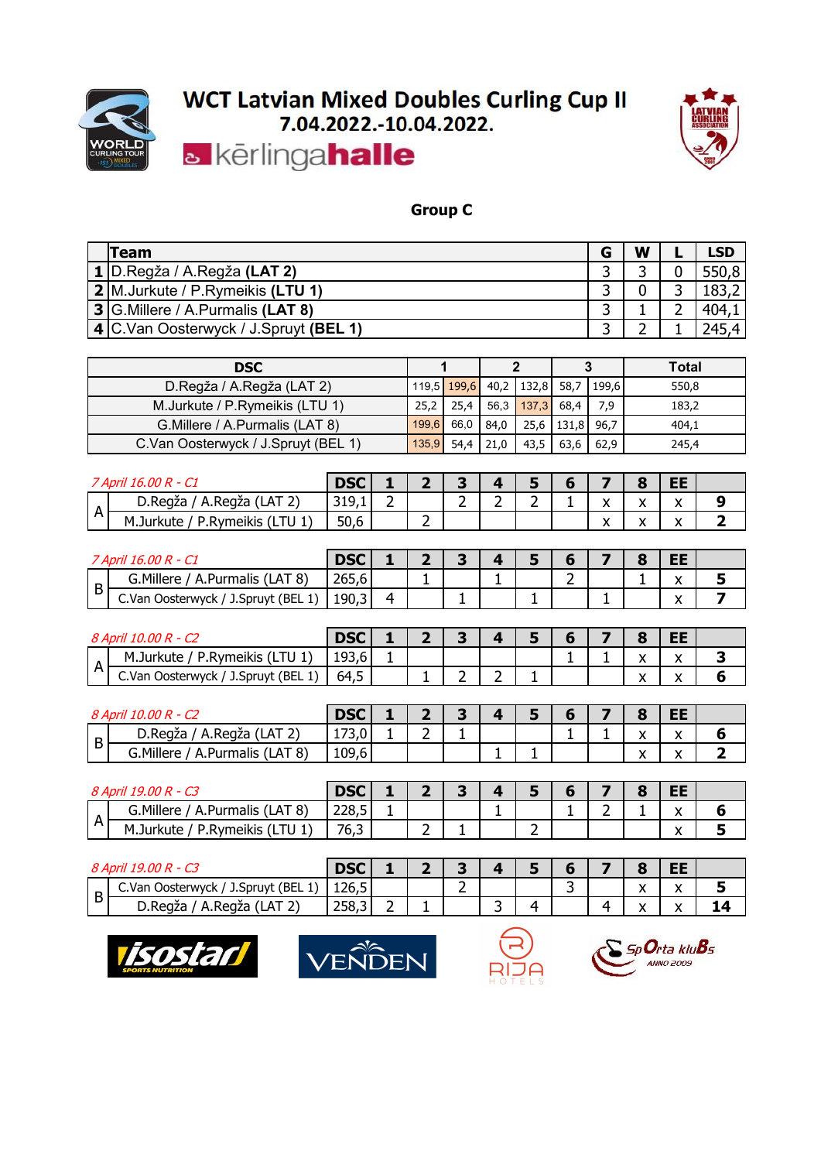



#### **Group C**

| Team                                          | G | W | <b>LSD</b> |
|-----------------------------------------------|---|---|------------|
| <b>  1  </b> D.Regža / A.Regža <b>(LAT 2)</b> |   |   | 550,8      |
| 2 M.Jurkute / P.Rymeikis (LTU 1)              |   |   | 183,2      |
| 3 G. Millere / A. Purmalis (LAT 8)            |   |   | 404,1      |
| 4 C.Van Oosterwyck / J.Spruyt (BEL 1)         |   |   | 245,4      |

| <b>DSC</b>                          |                   |      |      |                                                |      |      | Total |
|-------------------------------------|-------------------|------|------|------------------------------------------------|------|------|-------|
| D.Regža / A.Regža (LAT 2)           |                   |      |      | <sup>1</sup> 119,5 199,6 40,2 132,8 58,7 199,6 |      |      | 550,8 |
| M.Jurkute / P.Rymeikis (LTU 1)      | 25,2              | 25.4 |      | $56,3$   137,3   68,4                          |      | 7.9  | 183,2 |
| G. Millere / A. Purmalis (LAT 8)    | 199,6 66,0        |      | 84,0 | 25,6 131,8 96,7                                |      |      | 404,1 |
| C.Van Oosterwyck / J.Spruyt (BEL 1) | $135,9$ 54,4 21,0 |      |      | 43,5                                           | 63.6 | 62.9 | 245,4 |

|   | ' April 16.00 R - C<br>$\sqrt{2}$                 | <b>DSC</b>   |        |   |        |  |  | r e<br>o                 | EE     |  |
|---|---------------------------------------------------|--------------|--------|---|--------|--|--|--------------------------|--------|--|
|   | A.Regža<br>D.Regža<br>$\sim$ $\sim$<br>(LA I<br>▵ | 310<br>しエフィエ | ∽<br>- |   | ∽<br>- |  |  | $\sim$ $\sim$            | v<br>" |  |
| A | (LTU 1)<br>'.Rymeikis<br>M.Jurkute<br>D           | 50,6         |        | ∽ |        |  |  | $\overline{\phantom{a}}$ | v<br>Λ |  |

|   | ~<br>' April 16.00 R - C                      | <b>DSC</b> |  |   |   |               |   | o | ᄄ<br>--      |        |
|---|-----------------------------------------------|------------|--|---|---|---------------|---|---|--------------|--------|
|   | G.Millere<br>(LAT 8)<br>A.Purmalis            | 265,6      |  |   | - |               | - | - | $\cdot$      | $\sim$ |
| D | C.Van<br>/ J.Spruyt (BEL 1,<br>, Oosterwyck / | 190,3      |  | - |   | <u>. на п</u> |   |   | $\cdot$<br>" |        |

|              | $\sim$<br>' 10.00 R - t.<br>8 April                                     | <b>DSC</b> |   |   |  |  | c                         | EE<br>--          |   |
|--------------|-------------------------------------------------------------------------|------------|---|---|--|--|---------------------------|-------------------|---|
|              | P.Rymeikis<br>(LTU 1)<br>M.Jurkute                                      | 193,6      | - |   |  |  | $\ddot{\phantom{0}}$      | v<br>$\mathbf{v}$ | ۰ |
| $\mathsf{A}$ | $\sim$ $\cdot$ $\cdot$<br>/ J.Spruyt (BEL 1,<br>ر Oosterwyck ا<br>C.Van | -<br>64,5  |   | - |  |  | $\mathbf{v}$<br>$\lambda$ | $\cdot$<br>"      | o |

| 8 April | $\sim$<br>$10.00 R -$<br>.                             | <b>DSC</b> |   |   |  |  | r e<br>c                  | EE<br>--                      |   |
|---------|--------------------------------------------------------|------------|---|---|--|--|---------------------------|-------------------------------|---|
|         | D.Regža<br>A.Regža<br>$\sim$ $\sim$<br>$\cdot$ (LAT 2, | 173,0      | - | - |  |  | $\ddot{\phantom{0}}$      | $\overline{\phantom{a}}$<br>" | О |
| D I     | G.Millere<br>(LAT 8)<br>A.Purmalis                     | 109,6      |   |   |  |  | $\lambda$<br>$\mathbf{v}$ | v<br>^                        | - |

|                            | $\sim$<br><sup>Q</sup> April .<br>ממ.<br>10<br>к<br>$-1$ | <b>DSC</b> |  |   | ٠      |   | O | --<br>- -<br>-- |        |
|----------------------------|----------------------------------------------------------|------------|--|---|--------|---|---|-----------------|--------|
|                            | G.Millere<br>(LAT 8)<br>.Purmalis<br>′ A.,               | 228,5      |  | - |        | - | - | $\cdot$         | О      |
| Δ<br>$\mathbf{\mathsf{a}}$ | (LTU1)<br>Rymeikis?<br>1.Jurkute                         | 76,3       |  |   | -<br>- |   |   | $\lambda$<br>"  | -<br>۰ |

|    | $\sim$<br><sup>Q</sup> Anril,<br>nn<br>$-1$                | <b>DSC</b> |   |        | ۰        |                               | O                                        | ᄄ<br>--      |    |
|----|------------------------------------------------------------|------------|---|--------|----------|-------------------------------|------------------------------------------|--------------|----|
| D. | / J.Spruyt (BEL 1,<br>C.Van<br>Oosterwyck,                 | 126,5      |   | -<br>- |          | $\overline{\phantom{0}}$<br>ັ | $\overline{\phantom{a}}$<br>$\mathbf{v}$ | $\cdot$<br>" |    |
| D  | $\sim$ $\sim$<br>D.Regža<br>A.Regža<br>(LA I<br>$\epsilon$ | 258,3      | - |        | $\Delta$ |                               | $\sim$ $\sim$<br>$\lambda$               |              | 14 |







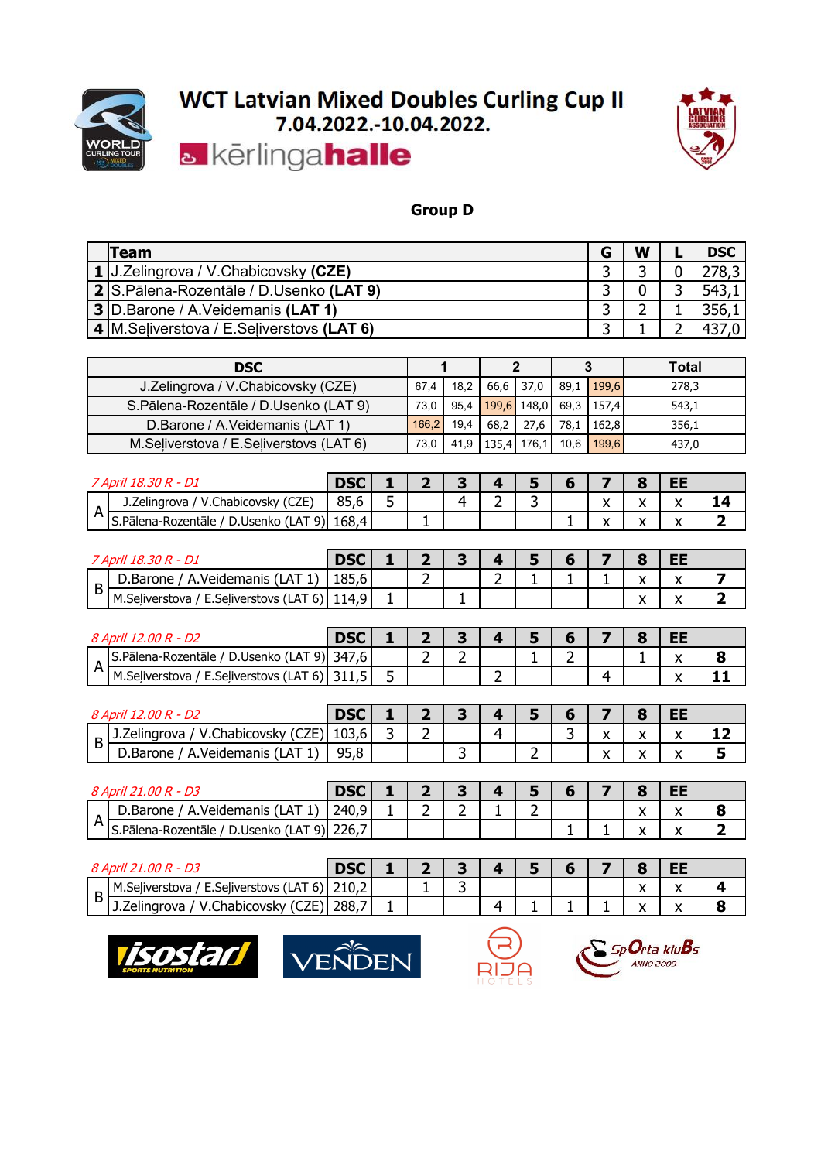



#### **Group D**

| <b>Team</b>                                          |                                 |                |                |      |                |                |              | G     | W           |              | <b>DSC</b>     |  |  |
|------------------------------------------------------|---------------------------------|----------------|----------------|------|----------------|----------------|--------------|-------|-------------|--------------|----------------|--|--|
| J.Zelingrova / V.Chabicovsky (CZE)<br>1 <sup>1</sup> |                                 |                |                |      |                |                |              | 3     | 3           | 0            | 278,3          |  |  |
| 2 S.Pālena-Rozentāle / D.Usenko (LAT 9)              |                                 |                |                |      |                |                |              | 3     | $\mathbf 0$ | 3            | 543,1          |  |  |
| 3 D.Barone / A.Veidemanis (LAT 1)                    |                                 |                |                |      | 3              | 2              |              | 356,1 |             |              |                |  |  |
| 4 M. Seliverstova / E. Seliverstovs (LAT 6)          |                                 |                |                |      |                |                |              | 3     |             | 2            | 437,0          |  |  |
|                                                      |                                 |                |                |      |                |                |              |       |             |              |                |  |  |
| <b>DSC</b>                                           |                                 |                |                | 1    |                | $\mathbf{2}$   |              | 3     |             | <b>Total</b> |                |  |  |
| J.Zelingrova / V.Chabicovsky (CZE)                   |                                 |                | 67,4           | 18,2 | 66,6           | 37,0           | 89,1         | 199,6 |             | 278,3        |                |  |  |
| S.Pālena-Rozentāle / D.Usenko (LAT 9)                |                                 |                | 73,0<br>166,2  | 95,4 |                | 199,6 148,0    | 69,3         | 157,4 | 543,1       |              |                |  |  |
|                                                      | D.Barone / A.Veidemanis (LAT 1) |                |                | 19,4 | 68,2           | 27,6           | 78,1         | 162,8 |             | 356,1        |                |  |  |
| M.Seliverstova / E.Seliverstovs (LAT 6)              |                                 |                | 73,0           | 41,9 | 135,4          | 176,1          | 10,6         | 199,6 |             | 437,0        |                |  |  |
|                                                      |                                 |                |                |      |                |                |              |       |             |              |                |  |  |
| 7 April 18.30 R - D1                                 | <b>DSC</b>                      | 1              | $\mathbf{z}$   | 3    | 4              | 5              | 6            | 7     | 8           | EE           |                |  |  |
| J.Zelingrova / V.Chabicovsky (CZE)<br>$\overline{A}$ | 85,6                            | 5              |                | 4    | 2              | 3              |              | X     | X           | X            | 14             |  |  |
| S.Pālena-Rozentāle / D.Usenko (LAT 9) 168,4          |                                 |                |                |      |                |                | 1            | X     | X           | X            | $\overline{2}$ |  |  |
|                                                      |                                 |                |                |      |                |                |              |       |             |              |                |  |  |
| 7 April 18.30 R - D1                                 | <b>DSC</b>                      | 1              | $\overline{2}$ | 3    | 4              | 5              | 6            | 7     | 8           | EE           |                |  |  |
| D.Barone / A.Veidemanis (LAT 1)<br>B                 | 185,6                           |                | $\overline{2}$ |      | $\overline{2}$ | $\mathbf{1}$   | $\mathbf{1}$ | 1     | X           | X            | 7              |  |  |
| M.Seliverstova / E.Seliverstovs (LAT 6) 114,9        |                                 | 1              |                | 1.   |                |                |              |       | X           | X            | $\overline{2}$ |  |  |
|                                                      |                                 |                |                |      |                |                |              |       |             |              |                |  |  |
| 8 April 12.00 R - D2                                 | <b>DSC</b>                      | 1              | 2              | 3    | 4              | 5              | 6            | 7     | 8           | <b>EE</b>    |                |  |  |
| S.Pālena-Rozentāle / D.Usenko (LAT 9) 347,6          |                                 |                | 2              | 2    |                |                | 2            |       |             | X            | 8              |  |  |
| M.Seliverstova / E.Seliverstovs (LAT 6) 311,5        |                                 | 5              |                |      | $\overline{2}$ |                |              | 4     |             | X            | 11             |  |  |
|                                                      |                                 |                |                |      |                |                |              |       |             |              |                |  |  |
| 8 April 12.00 R - D2                                 | <b>DSC</b>                      | 1              | 2              | 3    | 4              | 5              | 6            | 7     | 8           | EE           |                |  |  |
| J.Zelingrova / V.Chabicovsky (CZE)<br>B              | 103,6                           | $\overline{3}$ | 2              |      | 4              |                | 3            | X     | X           | x            | 12             |  |  |
| D.Barone / A.Veidemanis (LAT 1)                      | 95,8                            |                |                | 3    |                | $\overline{2}$ |              | X     | X           | X            | 5              |  |  |

|                       |                                                 | <b>DSC</b> |  |                               |     |  | O                         | --<br>-- |   |
|-----------------------|-------------------------------------------------|------------|--|-------------------------------|-----|--|---------------------------|----------|---|
|                       | LAT<br>. .<br>Veidemanis<br>D.Barone<br>¬<br>л. | 240,9      |  | $\overline{\phantom{0}}$<br>- | . . |  | $\mathbf{v}$<br>$\lambda$ |          | o |
| $\mathbf{\mathsf{a}}$ | S.Pālena-Rozentāle<br>9)<br>D.Usenko (LAT       | 226,       |  |                               |     |  |                           |          | e |

|          |                                                  | <b>DSC</b>               |  |   |  |  | o                            | EE<br>--                |            |
|----------|--------------------------------------------------|--------------------------|--|---|--|--|------------------------------|-------------------------|------------|
|          | E.Seliverstovs (LAT 6)   210,2<br>M.Seliverstova |                          |  | ш |  |  | $\mathbf{v}$<br>$\mathbf{v}$ | "                       | $\epsilon$ |
| <u>ل</u> | CZE) 288,<br>V.Chabicovsky (CZE)<br>J.Zelingrova | $\overline{\phantom{0}}$ |  |   |  |  |                              | $\cdot$<br>$\mathbf{v}$ | O          |







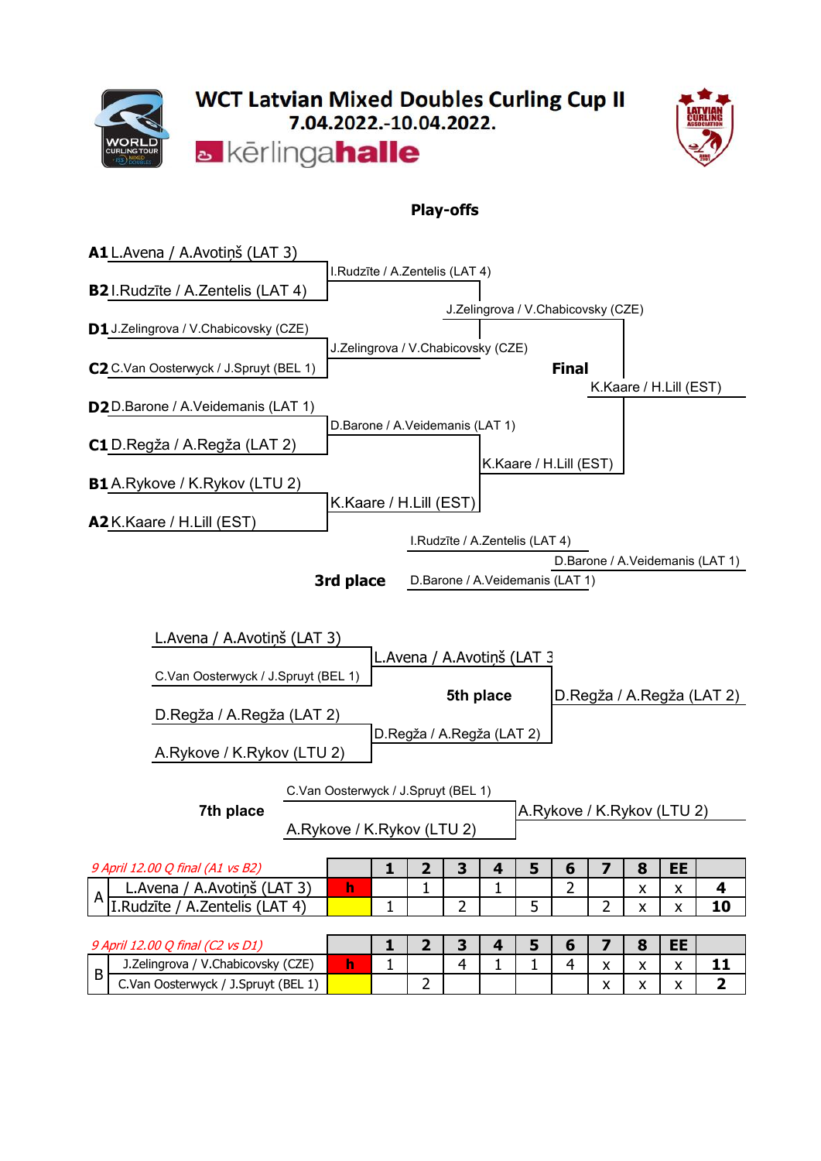



### **Play-offs**

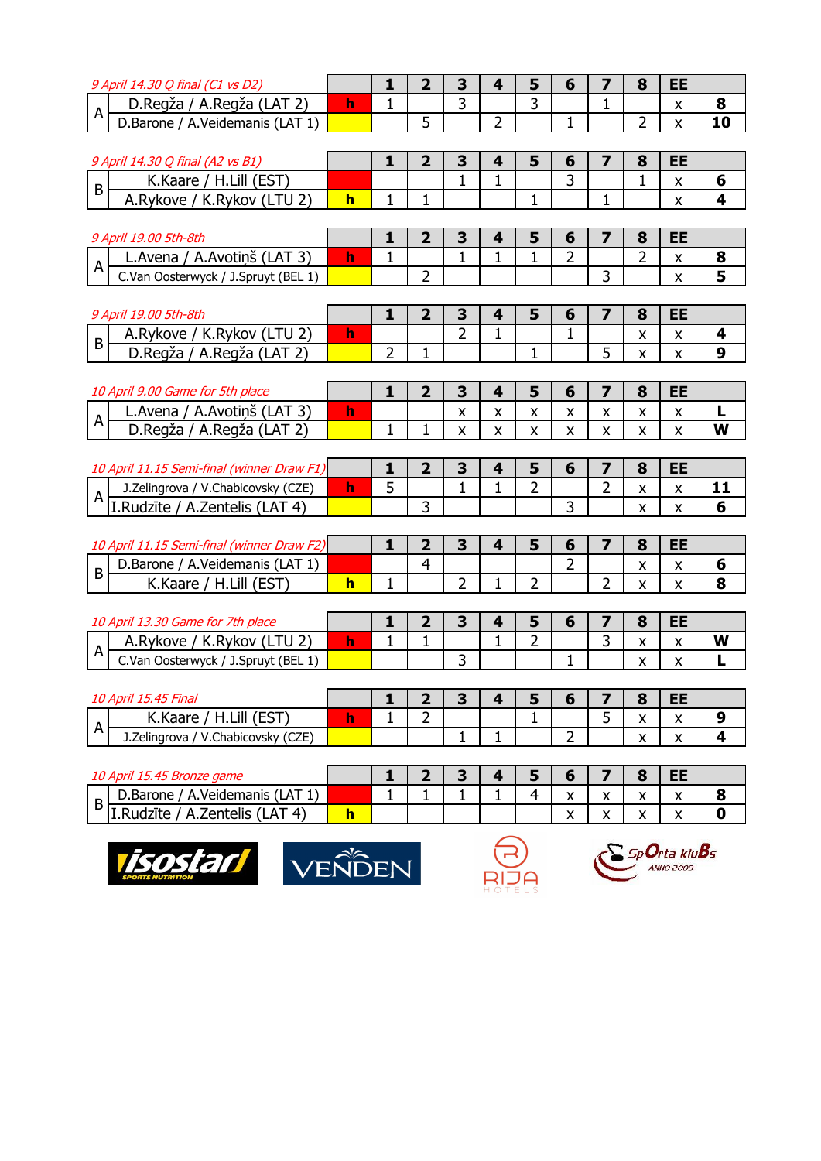| 9 April 14.30 Q final (C1 vs D2)                       |              | 1              | $\overline{2}$ | 3                  | 4            | 5              | 6                  | 7                       | 8                         | EE                        |             |
|--------------------------------------------------------|--------------|----------------|----------------|--------------------|--------------|----------------|--------------------|-------------------------|---------------------------|---------------------------|-------------|
| D.Regža / A.Regža (LAT 2)<br>$\overline{A}$            | h            | $\mathbf{1}$   |                | $\overline{3}$     |              | 3              |                    | 1                       |                           | X                         | 8           |
| D.Barone / A.Veidemanis (LAT 1)                        |              |                | 5              |                    | 2            |                | 1                  |                         | 2                         | $\pmb{\chi}$              | 10          |
|                                                        |              |                |                |                    |              |                |                    |                         |                           |                           |             |
| 9 April 14.30 Q final (A2 vs B1)                       |              | 1              | $\overline{2}$ | 3                  | 4            | 5              | 6                  | 7                       | 8                         | EE                        |             |
| K.Kaare / H.Lill (EST)<br>$\sf B$                      |              |                |                |                    | 1            |                | 3                  |                         | 1                         | $\pmb{\mathsf{X}}$        | 6           |
| A.Rykove / K.Rykov (LTU 2)                             | $\mathbf{h}$ | 1              | 1              |                    |              | 1              |                    | 1                       |                           | X                         | 4           |
|                                                        |              |                |                |                    |              |                |                    |                         |                           |                           |             |
| 9 April 19.00 5th-8th                                  |              | 1              | $\mathbf{2}$   | 3                  | 4            | 5              | 6                  | 7                       | 8                         | EE                        |             |
| L. Avena / A. Avotinš (LAT 3)<br>$\mathsf{A}$          | $\mathbf{h}$ | $\mathbf{1}$   |                | 1                  | 1            | 1              | $\overline{2}$     |                         | $\overline{2}$            | $\pmb{\mathsf{X}}$        | 8           |
| C.Van Oosterwyck / J.Spruyt (BEL 1)                    |              |                | $\overline{2}$ |                    |              |                |                    | $\overline{3}$          |                           | $\boldsymbol{\mathsf{X}}$ | 5           |
|                                                        |              |                |                |                    |              |                |                    |                         |                           |                           |             |
| 9 April 19.00 5th-8th                                  |              | 1              | $\overline{2}$ | 3                  | 4            | 5              | 6                  | 7                       | 8                         | <b>EE</b>                 |             |
| A.Rykove / K.Rykov (LTU 2)<br>$\overline{B}$           | $\mathbf{h}$ |                |                | $\overline{2}$     | 1            |                | 1                  |                         | X                         | $\pmb{\mathsf{X}}$        | 4           |
| D.Regža / A.Regža (LAT 2)                              |              | $\overline{2}$ | 1              |                    |              | 1              |                    | 5                       | $\pmb{\mathsf{X}}$        | $\pmb{\chi}$              | 9           |
|                                                        |              |                |                |                    |              |                |                    |                         |                           |                           |             |
| 10 April 9.00 Game for 5th place                       |              | $\mathbf{1}$   | $\overline{2}$ | $\mathbf{3}$       | 4            | 5              | 6                  | $\overline{\mathbf{z}}$ | 8                         | <b>EE</b>                 |             |
| L. Avena / A. Avotiņš (LAT 3)                          | $\mathbf{h}$ |                |                | $\pmb{\mathsf{X}}$ | X            | X              | X                  | X                       | X                         | $\pmb{\mathsf{X}}$        | L           |
| $\boldsymbol{\mathsf{A}}$<br>D.Regža / A.Regža (LAT 2) |              | $\mathbf{1}$   | 1              | $\mathsf{X}$       | X.           | X              | X                  | $\pmb{\mathsf{X}}$      | X                         | $\pmb{\chi}$              | W           |
|                                                        |              |                |                |                    |              |                |                    |                         |                           |                           |             |
| 10 April 11.15 Semi-final (winner Draw F1)             |              | 1              | $\mathbf{2}$   | 3                  | 4            | 5              | 6                  | 7                       | 8                         | EE                        |             |
| J.Zelingrova / V.Chabicovsky (CZE)                     | $\mathbf{h}$ | 5              |                | $\mathbf{1}$       | 1            | $\overline{2}$ |                    | $\overline{2}$          | $\pmb{\mathsf{X}}$        | $\pmb{\mathsf{X}}$        | 11          |
| $A$ T. Rudzīte / A. Zentelis (LAT 4)                   |              |                | 3              |                    |              |                | 3                  |                         | X                         | X                         | 6           |
|                                                        |              |                |                |                    |              |                |                    |                         |                           |                           |             |
| 10 April 11.15 Semi-final (winner Draw F2)             |              | 1              | $\overline{2}$ | 3                  | 4            | 5              | 6                  | 7                       | 8                         | EE                        |             |
| D.Barone / A.Veidemanis (LAT 1)                        |              |                | $\overline{4}$ |                    |              |                | $\overline{2}$     |                         | $\pmb{\mathsf{X}}$        | $\pmb{\mathsf{X}}$        | 6           |
| $\, {\bf B}$<br>K.Kaare / H.Lill (EST)                 | $\mathbf{h}$ | $\mathbf{1}$   |                | $\overline{2}$     | 1            | $\overline{2}$ |                    | $\overline{2}$          | $\boldsymbol{\mathsf{x}}$ | X                         | 8           |
|                                                        |              |                |                |                    |              |                |                    |                         |                           |                           |             |
| 10 April 13.30 Game for 7th place                      |              | 1              | $\mathbf{2}$   | $\mathbf{3}$       | 4            | 5              | 6                  | 7                       | 8                         | EE                        |             |
| A.Rykove / K.Rykov (LTU 2)                             | $\mathbf{h}$ | $\mathbf 1$    | $\mathbf 1$    |                    | 1            | 2              |                    | 3                       | $\pmb{\mathsf{X}}$        | $\pmb{\mathsf{X}}$        | W           |
| $\overline{A}$<br>C.Van Oosterwyck / J.Spruyt (BEL 1)  |              |                |                | 3                  |              |                | $\mathbf{1}$       |                         | x                         | X                         |             |
|                                                        |              |                |                |                    |              |                |                    |                         |                           |                           |             |
| 10 April 15.45 Final                                   |              | $\mathbf{1}$   | $\overline{2}$ | $\mathbf{3}$       | 4            | 5              | 6                  | $\overline{\mathbf{z}}$ | 8                         | <b>EE</b>                 |             |
| K.Kaare / H.Lill (EST)                                 | $\mathbf{h}$ | $\mathbf{1}$   | $\overline{2}$ |                    |              |                |                    | 5                       | $\pmb{\mathsf{X}}$        | $\pmb{\mathsf{X}}$        | 9           |
| $\mathsf{A}$<br>J.Zelingrova / V.Chabicovsky (CZE)     |              |                |                | $\mathbf{1}$       | $\mathbf 1$  |                | $\overline{2}$     |                         | $\pmb{\mathsf{X}}$        | $\mathsf{x}$              | 4           |
|                                                        |              |                |                |                    |              |                |                    |                         |                           |                           |             |
| 10 April 15.45 Bronze game                             |              | 1              | $\overline{2}$ | $\mathbf{3}$       | 4            | 5              | 6                  | $\overline{\mathbf{z}}$ | 8                         | EE                        |             |
| D.Barone / A.Veidemanis (LAT 1)                        |              | $\mathbf{1}$   | $\mathbf{1}$   | $\mathbf{1}$       | $\mathbf{1}$ | $\overline{4}$ | $\pmb{\mathsf{X}}$ | $\pmb{\mathsf{X}}$      | $\boldsymbol{\mathsf{X}}$ | $\mathsf{X}$              | 8           |
| B<br>I.Rudzīte / A.Zentelis (LAT 4)                    | h            |                |                |                    |              |                |                    |                         |                           |                           | $\mathbf 0$ |
|                                                        |              |                |                |                    |              |                | X                  | X                       | X                         | X                         |             |







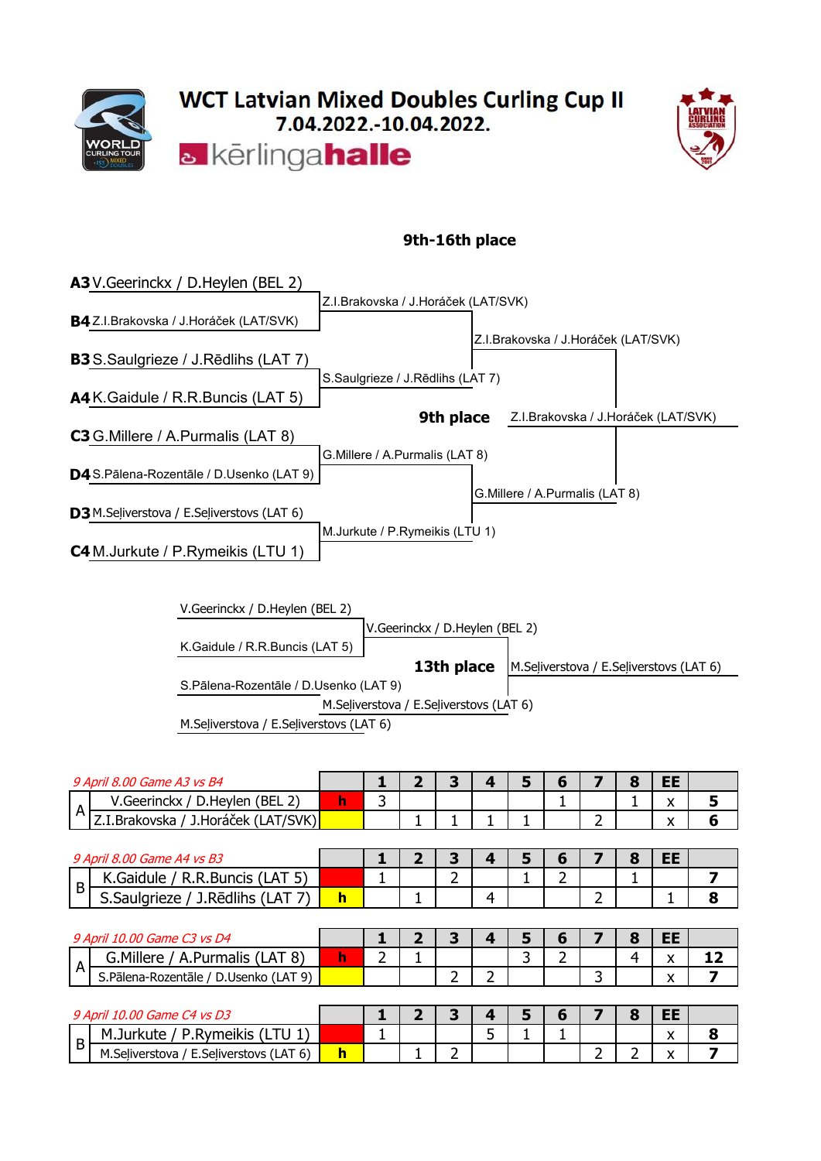



### **9th-16th place**

| <b>A3</b> V. Geerinckx / D. Heylen (BEL 2)            |
|-------------------------------------------------------|
| Z.I.Brakovska / J.Horáček (LAT/SVK)                   |
| B4 Z.I.Brakovska / J.Horáček (LAT/SVK)                |
| Z.I.Brakovska / J.Horáček (LAT/SVK)                   |
| <b>B3</b> S.Saulgrieze / J.Rēdlihs (LAT 7)            |
| S.Saulgrieze / J.Rēdlihs (LAT 7)                      |
| A4 K. Gaidule / R. R. Buncis (LAT 5)                  |
| Z.I.Brakovska / J.Horáček (LAT/SVK)<br>9th place      |
| <b>C3</b> G. Millere / A. Purmalis (LAT 8)            |
| G.Millere / A.Purmalis (LAT 8)                        |
| D4 S.Pālena-Rozentāle / D.Usenko (LAT 9)              |
| G.Millere / A.Purmalis (LAT 8)                        |
| <b>D3</b> M.Seliverstova / E.Seliverstovs (LAT 6)     |
| M.Jurkute / P.Rymeikis (LTU 1)                        |
| <b>C4</b> M.Jurkute / P.Rymeikis (LTU 1)              |
|                                                       |
|                                                       |
| V.Geerinckx / D.Heylen (BEL 2)                        |
| V.Geerinckx / D.Heylen (BEL 2)                        |
| K.Gaidule / R.R.Buncis (LAT 5)                        |
| 13th place<br>M.Seliverstova / E.Seliverstovs (LAT 6) |
| S.Pālena-Rozentāle / D.Usenko (LAT 9)                 |
| M.Seliverstova / E.Seliverstovs (LAT 6)               |
| M.Seliverstova / E.Seliverstovs (LAT 6)               |
|                                                       |
|                                                       |

|                | 9 April 8.00 Game A3 vs B4            |             |               | З |    | 5 | 6 |    | 8 | EE.       |    |
|----------------|---------------------------------------|-------------|---------------|---|----|---|---|----|---|-----------|----|
|                | V.Geerinckx / D.Heylen (BEL 2)        | $\mathbf h$ | 3             |   |    |   |   |    |   | x.        | 5  |
| A              | Z.I.Brakovska / J.Horáček (LAT/SVK)   |             |               |   |    |   |   | ่ว |   | x         | 6  |
|                |                                       |             |               |   |    |   |   |    |   |           |    |
|                | 9 April 8.00 Game A4 vs B3            |             |               | 3 |    | 5 | 6 |    | 8 | <b>EE</b> |    |
| $\overline{B}$ | K.Gaidule / R.R.Buncis (LAT 5)        |             |               | 2 |    |   | 2 |    |   |           | 7  |
|                | S.Saulgrieze / J.Redlihs (LAT 7)      | $\mathbf h$ |               |   | 4  |   |   | ר  |   |           | 8  |
|                |                                       |             |               |   |    |   |   |    |   |           |    |
|                |                                       |             |               |   |    |   |   |    |   |           |    |
|                | 9 April 10.00 Game C3 vs D4           |             |               | 3 |    | 5 | 6 |    | 8 | <b>EE</b> |    |
|                | G. Millere / A. Purmalis (LAT 8)      | $\mathbf h$ | $\mathcal{P}$ |   |    | 3 | 2 |    | 4 | X.        | 12 |
| $\overline{A}$ | S.Pālena-Rozentāle / D.Usenko (LAT 9) |             |               | า |    |   |   | ٦  |   | x         | 7  |
|                |                                       |             |               |   |    |   |   |    |   |           |    |
|                | 9 April 10.00 Game C4 vs D3           |             |               | 3 |    | 5 | 6 |    | 8 | <b>EE</b> |    |
| B              | M.Jurkute / P.Rymeikis (LTU 1)        |             |               |   | 5. |   |   |    |   | X.        | 8  |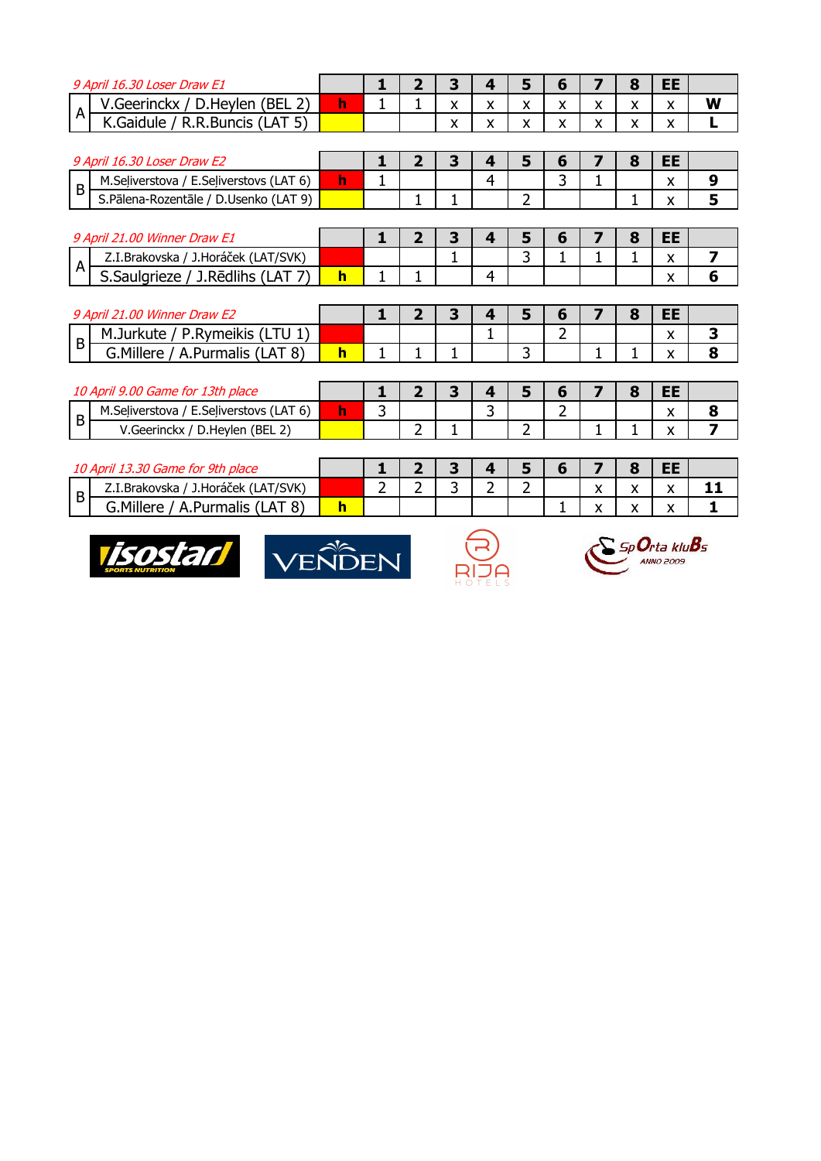| 9 April 16.30 Loser Draw E1                           |              | 1              | $\overline{\mathbf{z}}$ | 3 | 4 | $5\phantom{1}$ | 6 | 7 | 8 | <b>EE</b> |                         |
|-------------------------------------------------------|--------------|----------------|-------------------------|---|---|----------------|---|---|---|-----------|-------------------------|
| V.Geerinckx / D.Heylen (BEL 2)                        | h            |                |                         | x | x | x              | X | X | x | x         | W                       |
| A<br>K.Gaidule / R.R.Buncis (LAT 5)                   |              |                |                         | X | x | X              | X | X | x | X         |                         |
|                                                       |              |                |                         |   |   |                |   |   |   |           |                         |
| 9 April 16.30 Loser Draw E2                           |              |                | $\overline{2}$          | 3 | 4 | 5              | 6 | 7 | 8 | <b>EE</b> |                         |
| M.Seliverstova / E.Seliverstovs (LAT 6)<br>B          | h.           |                |                         |   | 4 |                | 3 |   |   | X         | 9                       |
| S.Pālena-Rozentāle / D.Usenko (LAT 9)                 |              |                |                         |   |   | $\overline{2}$ |   |   |   |           | 5                       |
|                                                       |              |                |                         |   |   |                |   |   |   |           |                         |
| 9 April 21.00 Winner Draw E1                          |              |                | 2                       | 3 | 4 | 5              | 6 |   | 8 | <b>EE</b> |                         |
| Z.I.Brakovska / J.Horáček (LAT/SVK)<br>A              |              |                |                         |   |   | 3              |   |   |   | X         | 7                       |
| S.Saulgrieze / J.Redlihs (LAT 7)                      | $\mathbf{h}$ |                |                         |   | 4 |                |   |   |   | X         | 6                       |
|                                                       |              |                |                         |   |   |                |   |   |   |           |                         |
|                                                       |              |                |                         |   |   |                |   |   |   |           |                         |
| 9 April 21.00 Winner Draw E2                          |              | 1              | $\overline{2}$          | 3 | 4 | 5              | 6 | 7 | 8 | <b>EE</b> |                         |
| M.Jurkute / P.Rymeikis (LTU 1)                        |              |                |                         |   |   |                | 2 |   |   | X         | 3                       |
| $\sf B$<br>G. Millere / A. Purmalis (LAT 8)           | $\mathbf{h}$ |                |                         |   |   | 3              |   |   |   | x         | 8                       |
|                                                       |              |                |                         |   |   |                |   |   |   |           |                         |
| 10 April 9.00 Game for 13th place                     |              |                | $\mathbf{p}$            | 3 | 4 | 5              | 6 |   | 8 | <b>EE</b> |                         |
| M.Seliverstova / E.Seliverstovs (LAT 6)               | h            | 3              |                         |   | 3 |                | 2 |   |   | x         | 8                       |
| B<br>V.Geerinckx / D.Heylen (BEL 2)                   |              |                | $\overline{2}$          |   |   | $\overline{2}$ |   |   |   | X         | $\overline{\mathbf{z}}$ |
|                                                       |              |                |                         |   |   |                |   |   |   |           |                         |
| 10 April 13.30 Game for 9th place                     |              |                | $\mathbf{2}$            | 3 | 4 | 5              | 6 | 7 | 8 | <b>EE</b> |                         |
| Z.I.Brakovska / J.Horáček (LAT/SVK)<br>$\overline{B}$ |              | $\overline{2}$ | 2                       | 3 | 2 | 2              |   | X | X | X         | 11                      |





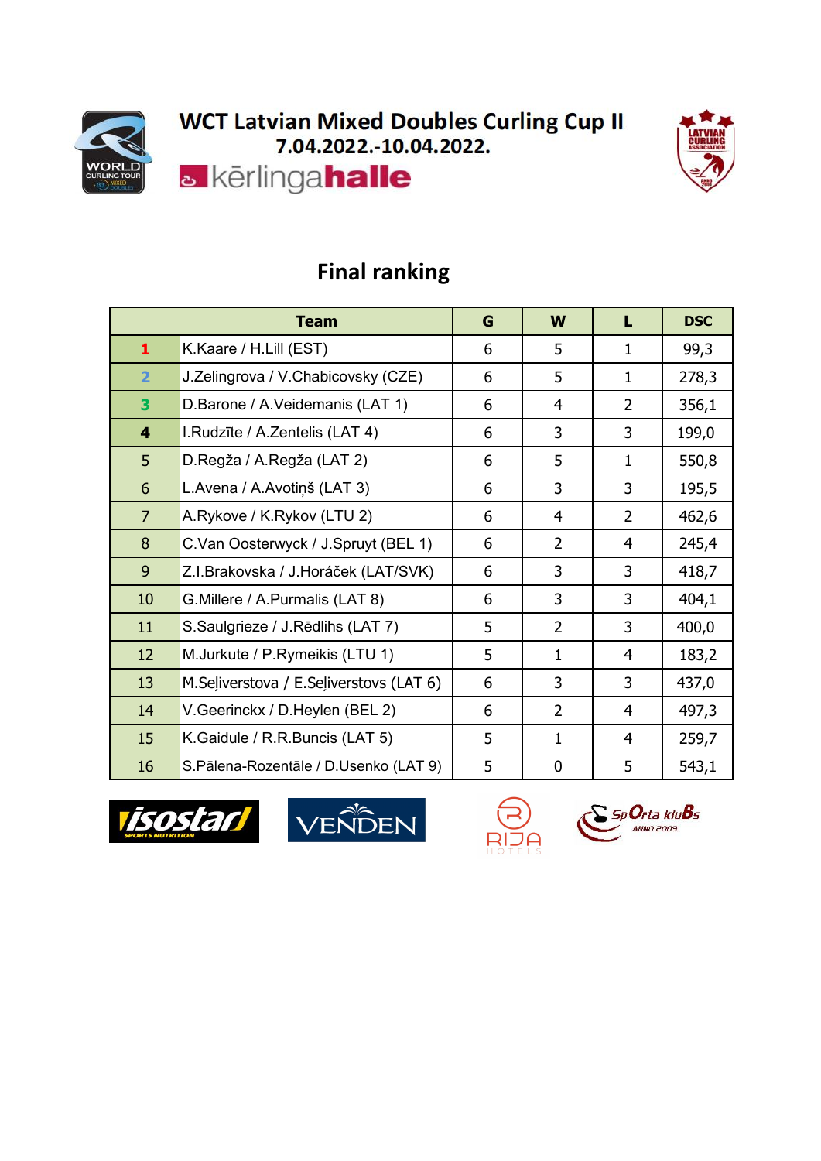



|                         | <b>Team</b>                             | G | W              | L              | <b>DSC</b> |
|-------------------------|-----------------------------------------|---|----------------|----------------|------------|
| $\mathbf{1}$            | K.Kaare / H.Lill (EST)                  | 6 | 5              | $\mathbf{1}$   | 99,3       |
| $\overline{2}$          | J.Zelingrova / V.Chabicovsky (CZE)      | 6 | 5              | $\mathbf{1}$   | 278,3      |
| 3                       | D.Barone / A.Veidemanis (LAT 1)         | 6 | 4              | $\overline{2}$ | 356,1      |
| $\overline{\mathbf{4}}$ | I.Rudzīte / A.Zentelis (LAT 4)          | 6 | 3              | 3              | 199,0      |
| 5                       | D.Regža / A.Regža (LAT 2)               | 6 | 5              | 1              | 550,8      |
| 6                       | L.Avena / A.Avotiņš (LAT 3)             | 6 | 3              | 3              | 195,5      |
| $\overline{7}$          | A.Rykove / K.Rykov (LTU 2)              | 6 | 4              | $\overline{2}$ | 462,6      |
| 8                       | C.Van Oosterwyck / J.Spruyt (BEL 1)     | 6 | $\overline{2}$ | $\overline{4}$ | 245,4      |
| 9                       | Z.I.Brakovska / J.Horáček (LAT/SVK)     | 6 | 3              | 3              | 418,7      |
| 10                      | G. Millere / A. Purmalis (LAT 8)        | 6 | 3              | 3              | 404,1      |
| 11                      | S.Saulgrieze / J.Rēdlihs (LAT 7)        | 5 | $\overline{2}$ | 3              | 400,0      |
| 12                      | M.Jurkute / P.Rymeikis (LTU 1)          | 5 | $\mathbf{1}$   | $\overline{4}$ | 183,2      |
| 13                      | M.Seliverstova / E.Seliverstovs (LAT 6) | 6 | 3              | 3              | 437,0      |
| 14                      | V.Geerinckx / D.Heylen (BEL 2)          | 6 | $\overline{2}$ | 4              | 497,3      |
| 15                      | K.Gaidule / R.R.Buncis (LAT 5)          | 5 | $\mathbf{1}$   | $\overline{4}$ | 259,7      |
| 16                      | S.Pālena-Rozentāle / D.Usenko (LAT 9)   | 5 | $\mathbf 0$    | 5              | 543,1      |

### **Final ranking**